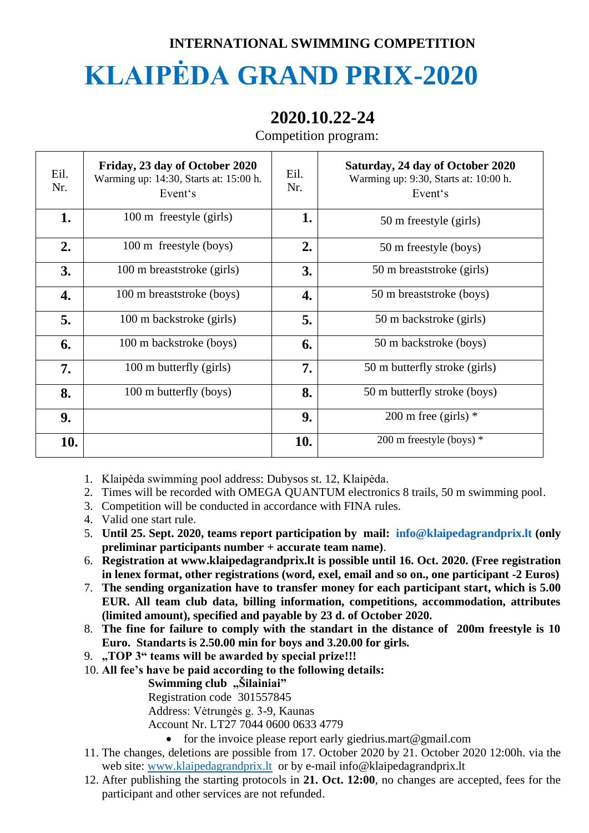## **INTERNATIONAL SWIMMING COMPETITION**

## **KLAIPĖDA GRAND PRIX-2020**

## **2020.10.22-24**

Competition program:

| Eil.<br>Nr. | Friday, 23 day of October 2020<br>Warming up: 14:30, Starts at: 15:00 h.<br>Event's | Eil.<br>Nr. | Saturday, 24 day of October 2020<br>Warming up: 9:30, Starts at: 10:00 h.<br>Event's |
|-------------|-------------------------------------------------------------------------------------|-------------|--------------------------------------------------------------------------------------|
| 1.          | 100 m freestyle (girls)                                                             | 1.          | 50 m freestyle (girls)                                                               |
| 2.          | 100 m freestyle (boys)                                                              | 2.          | 50 m freestyle (boys)                                                                |
| 3.          | 100 m breaststroke (girls)                                                          | 3.          | 50 m breaststroke (girls)                                                            |
| 4.          | 100 m breaststroke (boys)                                                           | 4.          | 50 m breaststroke (boys)                                                             |
| 5.          | 100 m backstroke (girls)                                                            | 5.          | 50 m backstroke (girls)                                                              |
| 6.          | 100 m backstroke (boys)                                                             | 6.          | 50 m backstroke (boys)                                                               |
| 7.          | 100 m butterfly (girls)                                                             | 7.          | 50 m butterfly stroke (girls)                                                        |
| 8.          | 100 m butterfly (boys)                                                              | 8.          | 50 m butterfly stroke (boys)                                                         |
| 9.          |                                                                                     | 9.          | 200 m free (girls) $*$                                                               |
| 10.         |                                                                                     | 10.         | 200 m freestyle (boys) *                                                             |

1. Klaipėda swimming pool address: Dubysos st. 12, Klaipėda.

- 2. Times will be recorded with OMEGA QUANTUM electronics 8 trails, 50 m swimming pool.
- 3. Competition will be conducted in accordance with FINA rules.
- 4. Valid one start rule.
- 5. **Until 25. Sept. 2020, teams report participation by mail: [info@klaipedagrandprix.lt](mailto:info@klaipedagrandprix.lt) (only preliminar participants number + accurate team name)**.
- 6. **Registration at www.klaipedagrandprix.lt is possible until 16. Oct. 2020. (Free registration in lenex format, other registrations (word, exel, email and so on., one participant -2 Euros)**
- 7. **The sending organization have to transfer money for each participant start, which is 5.00 EUR. All team club data, billing information, competitions, accommodation, attributes (limited amount), specified and payable by 23 d. of October 2020.**
- 8. **The fine for failure to comply with the standart in the distance of 200m freestyle is 10 Euro. Standarts is 2.50.00 min for boys and 3.20.00 for girls.**
- 9. **"TOP 3" teams will be awarded by special prize!!!**
- 10. **All fee's have be paid according to the following details:**

**Swimming club** "Šilainiai"

Registration code 301557845

Address: Vėtrungės g. 3-9, Kaunas

Account Nr. LT27 7044 0600 0633 4779

- for the invoice please report early giedrius.mart@gmail.com
- 11. The changes, deletions are possible from 17. October 2020 by 21. October 2020 12:00h. via the web site: [www.klaipedagrandprix.lt](http://www.klaipedagrandprix.lt/) or by e-mail info@klaipedagrandprix.lt
- 12. After publishing the starting protocols in **21. Oct. 12:00**, no changes are accepted, fees for the participant and other services are not refunded.